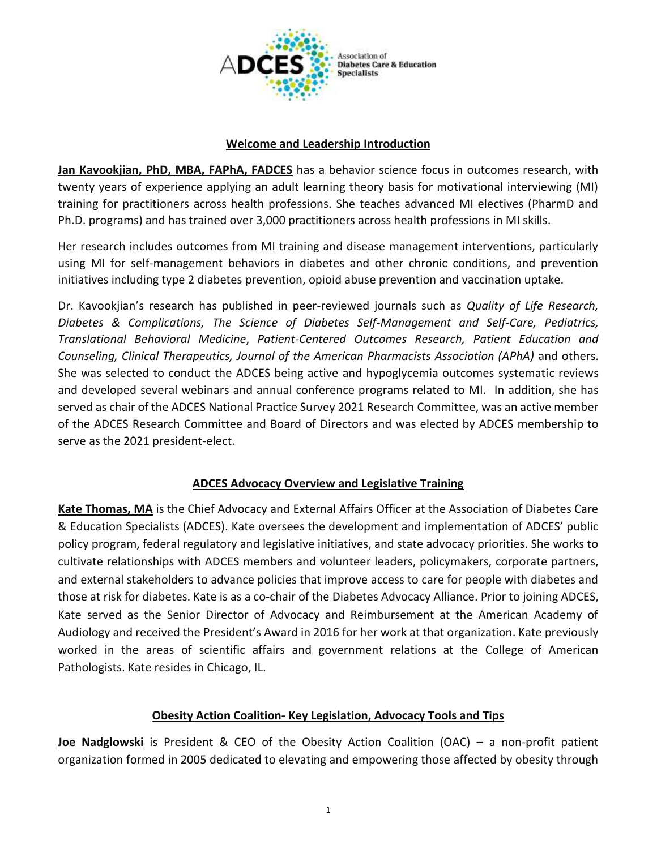

### **Welcome and Leadership Introduction**

**Jan Kavookjian, PhD, MBA, FAPhA, FADCES** has a behavior science focus in outcomes research, with twenty years of experience applying an adult learning theory basis for motivational interviewing (MI) training for practitioners across health professions. She teaches advanced MI electives (PharmD and Ph.D. programs) and has trained over 3,000 practitioners across health professions in MI skills.

Her research includes outcomes from MI training and disease management interventions, particularly using MI for self-management behaviors in diabetes and other chronic conditions, and prevention initiatives including type 2 diabetes prevention, opioid abuse prevention and vaccination uptake.

Dr. Kavookjian's research has published in peer-reviewed journals such as *Quality of Life Research, Diabetes & Complications, The Science of Diabetes Self-Management and Self-Care, Pediatrics, Translational Behavioral Medicine*, *Patient-Centered Outcomes Research, Patient Education and Counseling, Clinical Therapeutics, Journal of the American Pharmacists Association (APhA)* and others. She was selected to conduct the ADCES being active and hypoglycemia outcomes systematic reviews and developed several webinars and annual conference programs related to MI. In addition, she has served as chair of the ADCES National Practice Survey 2021 Research Committee, was an active member of the ADCES Research Committee and Board of Directors and was elected by ADCES membership to serve as the 2021 president-elect.

# **ADCES Advocacy Overview and Legislative Training**

**Kate Thomas, MA** is the Chief Advocacy and External Affairs Officer at the Association of Diabetes Care & Education Specialists (ADCES). Kate oversees the development and implementation of ADCES' public policy program, federal regulatory and legislative initiatives, and state advocacy priorities. She works to cultivate relationships with ADCES members and volunteer leaders, policymakers, corporate partners, and external stakeholders to advance policies that improve access to care for people with diabetes and those at risk for diabetes. Kate is as a co-chair of the Diabetes Advocacy Alliance. Prior to joining ADCES, Kate served as the Senior Director of Advocacy and Reimbursement at the American Academy of Audiology and received the President's Award in 2016 for her work at that organization. Kate previously worked in the areas of scientific affairs and government relations at the College of American Pathologists. Kate resides in Chicago, IL.

# **Obesity Action Coalition- Key Legislation, Advocacy Tools and Tips**

**Joe Nadglowski** is President & CEO of the Obesity Action Coalition (OAC) – a non-profit patient organization formed in 2005 dedicated to elevating and empowering those affected by obesity through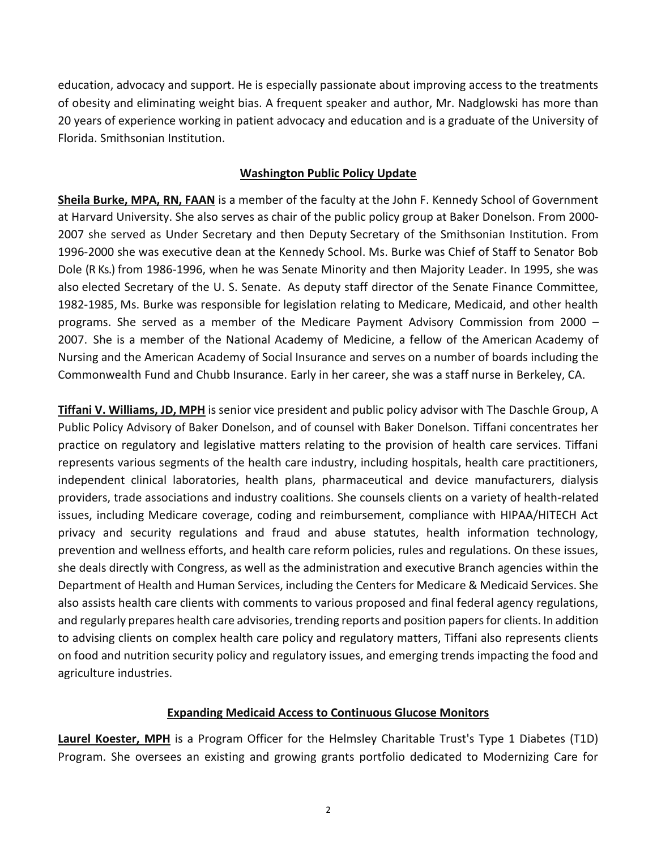education, advocacy and support. He is especially passionate about improving access to the treatments of obesity and eliminating weight bias. A frequent speaker and author, Mr. Nadglowski has more than 20 years of experience working in patient advocacy and education and is a graduate of the University of Florida. Smithsonian Institution.

# **Washington Public Policy Update**

**Sheila Burke, MPA, RN, FAAN** is a member of the faculty at the John F. Kennedy School of Government at Harvard University. She also serves as chair of the public policy group at Baker Donelson. From 2000- 2007 she served as Under Secretary and then Deputy Secretary of the Smithsonian Institution. From 1996-2000 she was executive dean at the Kennedy School. Ms. Burke was Chief of Staff to Senator Bob Dole (R Ks.) from 1986-1996, when he was Senate Minority and then Majority Leader. In 1995, she was also elected Secretary of the U. S. Senate. As deputy staff director of the Senate Finance Committee, 1982-1985, Ms. Burke was responsible for legislation relating to Medicare, Medicaid, and other health programs. She served as a member of the Medicare Payment Advisory Commission from 2000 – 2007. She is a member of the National Academy of Medicine, a fellow of the American Academy of Nursing and the American Academy of Social Insurance and serves on a number of boards including the Commonwealth Fund and Chubb Insurance. Early in her career, she was a staff nurse in Berkeley, CA.

**Tiffani V. Williams, JD, MPH** is senior vice president and public policy advisor with The Daschle Group, A Public Policy Advisory of Baker Donelson, and of counsel with Baker Donelson. Tiffani concentrates her practice on regulatory and legislative matters relating to the provision of health care services. Tiffani represents various segments of the health care industry, including hospitals, health care practitioners, independent clinical laboratories, health plans, pharmaceutical and device manufacturers, dialysis providers, trade associations and industry coalitions. She counsels clients on a variety of health-related issues, including Medicare coverage, coding and reimbursement, compliance with HIPAA/HITECH Act privacy and security regulations and fraud and abuse statutes, health information technology, prevention and wellness efforts, and health care reform policies, rules and regulations. On these issues, she deals directly with Congress, as well as the administration and executive Branch agencies within the Department of Health and Human Services, including the Centers for Medicare & Medicaid Services. She also assists health care clients with comments to various proposed and final federal agency regulations, and regularly prepares health care advisories, trending reports and position papers for clients. In addition to advising clients on complex health care policy and regulatory matters, Tiffani also represents clients on food and nutrition security policy and regulatory issues, and emerging trends impacting the food and agriculture industries.

### **Expanding Medicaid Access to Continuous Glucose Monitors**

**Laurel Koester, MPH** is a Program Officer for the Helmsley Charitable Trust's Type 1 Diabetes (T1D) Program. She oversees an existing and growing grants portfolio dedicated to Modernizing Care for